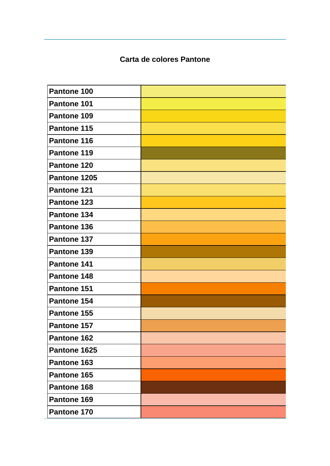## **Carta de colores Pantone**

| Pantone 100  |  |
|--------------|--|
| Pantone 101  |  |
| Pantone 109  |  |
| Pantone 115  |  |
| Pantone 116  |  |
| Pantone 119  |  |
| Pantone 120  |  |
| Pantone 1205 |  |
| Pantone 121  |  |
| Pantone 123  |  |
| Pantone 134  |  |
| Pantone 136  |  |
| Pantone 137  |  |
| Pantone 139  |  |
| Pantone 141  |  |
| Pantone 148  |  |
| Pantone 151  |  |
| Pantone 154  |  |
| Pantone 155  |  |
| Pantone 157  |  |
| Pantone 162  |  |
| Pantone 1625 |  |
| Pantone 163  |  |
| Pantone 165  |  |
| Pantone 168  |  |
| Pantone 169  |  |
| Pantone 170  |  |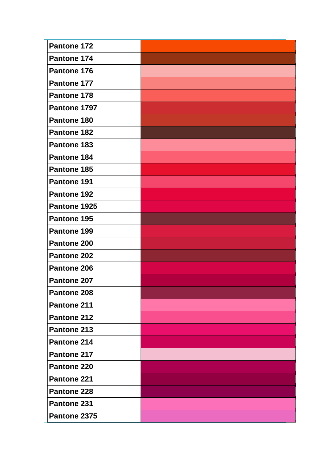| Pantone 172        |  |
|--------------------|--|
| Pantone 174        |  |
| Pantone 176        |  |
| Pantone 177        |  |
| Pantone 178        |  |
| Pantone 1797       |  |
| Pantone 180        |  |
| <b>Pantone 182</b> |  |
| Pantone 183        |  |
| Pantone 184        |  |
| Pantone 185        |  |
| Pantone 191        |  |
| <b>Pantone 192</b> |  |
| Pantone 1925       |  |
| Pantone 195        |  |
| Pantone 199        |  |
| Pantone 200        |  |
| Pantone 202        |  |
| Pantone 206        |  |
| Pantone 207        |  |
| Pantone 208        |  |
| Pantone 211        |  |
| Pantone 212        |  |
| Pantone 213        |  |
| Pantone 214        |  |
| Pantone 217        |  |
| Pantone 220        |  |
| Pantone 221        |  |
| Pantone 228        |  |
| Pantone 231        |  |
| Pantone 2375       |  |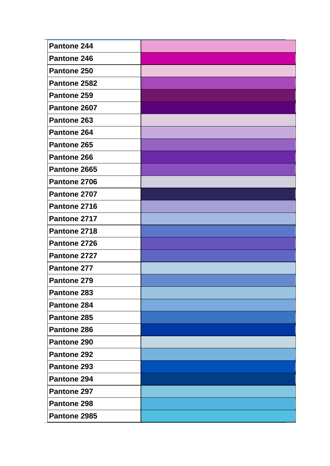| Pantone 244        |  |
|--------------------|--|
| Pantone 246        |  |
| Pantone 250        |  |
| Pantone 2582       |  |
| Pantone 259        |  |
| Pantone 2607       |  |
| Pantone 263        |  |
| Pantone 264        |  |
| Pantone 265        |  |
| Pantone 266        |  |
| Pantone 2665       |  |
| Pantone 2706       |  |
| Pantone 2707       |  |
| Pantone 2716       |  |
| Pantone 2717       |  |
| Pantone 2718       |  |
| Pantone 2726       |  |
| Pantone 2727       |  |
| Pantone 277        |  |
| Pantone 279        |  |
| Pantone 283        |  |
| Pantone 284        |  |
| Pantone 285        |  |
| Pantone 286        |  |
| Pantone 290        |  |
| Pantone 292        |  |
| Pantone 293        |  |
| Pantone 294        |  |
| Pantone 297        |  |
| <b>Pantone 298</b> |  |
| Pantone 2985       |  |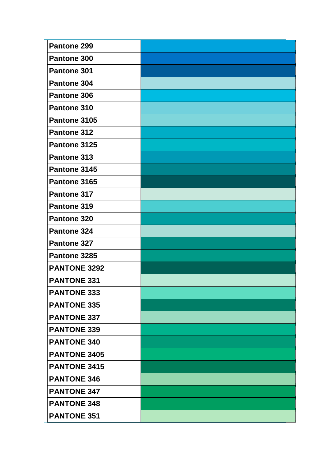| Pantone 299         |  |
|---------------------|--|
| Pantone 300         |  |
| Pantone 301         |  |
| Pantone 304         |  |
| Pantone 306         |  |
| Pantone 310         |  |
| Pantone 3105        |  |
| Pantone 312         |  |
| Pantone 3125        |  |
| Pantone 313         |  |
| Pantone 3145        |  |
| Pantone 3165        |  |
| Pantone 317         |  |
| Pantone 319         |  |
| Pantone 320         |  |
| Pantone 324         |  |
| Pantone 327         |  |
| Pantone 3285        |  |
| <b>PANTONE 3292</b> |  |
| <b>PANTONE 331</b>  |  |
| <b>PANTONE 333</b>  |  |
| <b>PANTONE 335</b>  |  |
| <b>PANTONE 337</b>  |  |
| <b>PANTONE 339</b>  |  |
| <b>PANTONE 340</b>  |  |
| <b>PANTONE 3405</b> |  |
| <b>PANTONE 3415</b> |  |
| <b>PANTONE 346</b>  |  |
| <b>PANTONE 347</b>  |  |
| <b>PANTONE 348</b>  |  |
| <b>PANTONE 351</b>  |  |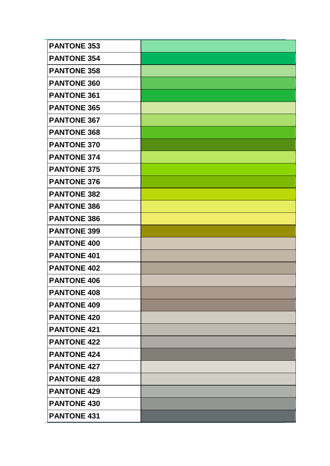| <b>PANTONE 353</b> |  |
|--------------------|--|
| <b>PANTONE 354</b> |  |
| <b>PANTONE 358</b> |  |
| <b>PANTONE 360</b> |  |
| <b>PANTONE 361</b> |  |
| <b>PANTONE 365</b> |  |
| <b>PANTONE 367</b> |  |
| <b>PANTONE 368</b> |  |
| <b>PANTONE 370</b> |  |
| <b>PANTONE 374</b> |  |
| <b>PANTONE 375</b> |  |
| <b>PANTONE 376</b> |  |
| <b>PANTONE 382</b> |  |
| <b>PANTONE 386</b> |  |
| <b>PANTONE 386</b> |  |
| <b>PANTONE 399</b> |  |
| <b>PANTONE 400</b> |  |
| <b>PANTONE 401</b> |  |
| <b>PANTONE 402</b> |  |
| <b>PANTONE 406</b> |  |
| <b>PANTONE 408</b> |  |
| <b>PANTONE 409</b> |  |
|                    |  |
| <b>PANTONE 420</b> |  |
| <b>PANTONE 421</b> |  |
| <b>PANTONE 422</b> |  |
| <b>PANTONE 424</b> |  |
| <b>PANTONE 427</b> |  |
| <b>PANTONE 428</b> |  |
| <b>PANTONE 429</b> |  |
| <b>PANTONE 430</b> |  |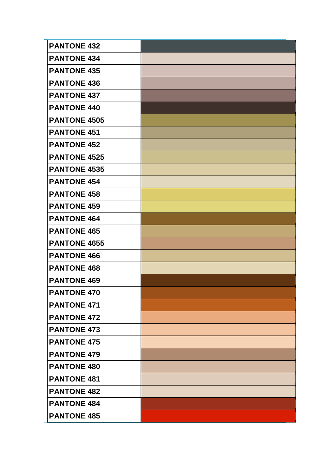| <b>PANTONE 432</b>  |  |
|---------------------|--|
| <b>PANTONE 434</b>  |  |
| <b>PANTONE 435</b>  |  |
| <b>PANTONE 436</b>  |  |
| <b>PANTONE 437</b>  |  |
| <b>PANTONE 440</b>  |  |
| <b>PANTONE 4505</b> |  |
| <b>PANTONE 451</b>  |  |
| <b>PANTONE 452</b>  |  |
| <b>PANTONE 4525</b> |  |
| <b>PANTONE 4535</b> |  |
| <b>PANTONE 454</b>  |  |
| <b>PANTONE 458</b>  |  |
| <b>PANTONE 459</b>  |  |
| <b>PANTONE 464</b>  |  |
| <b>PANTONE 465</b>  |  |
| <b>PANTONE 4655</b> |  |
| <b>PANTONE 466</b>  |  |
| <b>PANTONE 468</b>  |  |
| <b>PANTONE 469</b>  |  |
| <b>PANTONE 470</b>  |  |
| <b>PANTONE 471</b>  |  |
| <b>PANTONE 472</b>  |  |
| <b>PANTONE 473</b>  |  |
| <b>PANTONE 475</b>  |  |
| <b>PANTONE 479</b>  |  |
| <b>PANTONE 480</b>  |  |
| <b>PANTONE 481</b>  |  |
| <b>PANTONE 482</b>  |  |
| <b>PANTONE 484</b>  |  |
| <b>PANTONE 485</b>  |  |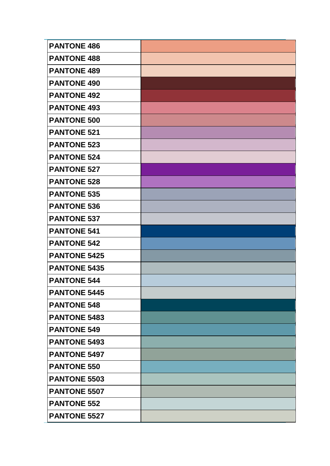| <b>PANTONE 486</b>  |  |
|---------------------|--|
| <b>PANTONE 488</b>  |  |
| <b>PANTONE 489</b>  |  |
| <b>PANTONE 490</b>  |  |
| <b>PANTONE 492</b>  |  |
| <b>PANTONE 493</b>  |  |
| <b>PANTONE 500</b>  |  |
| <b>PANTONE 521</b>  |  |
| <b>PANTONE 523</b>  |  |
| <b>PANTONE 524</b>  |  |
| <b>PANTONE 527</b>  |  |
| <b>PANTONE 528</b>  |  |
| <b>PANTONE 535</b>  |  |
| <b>PANTONE 536</b>  |  |
| <b>PANTONE 537</b>  |  |
| <b>PANTONE 541</b>  |  |
| <b>PANTONE 542</b>  |  |
| <b>PANTONE 5425</b> |  |
| <b>PANTONE 5435</b> |  |
| <b>PANTONE 544</b>  |  |
| <b>PANTONE 5445</b> |  |
| <b>PANTONE 548</b>  |  |
| <b>PANTONE 5483</b> |  |
| <b>PANTONE 549</b>  |  |
| <b>PANTONE 5493</b> |  |
| <b>PANTONE 5497</b> |  |
| <b>PANTONE 550</b>  |  |
| <b>PANTONE 5503</b> |  |
| <b>PANTONE 5507</b> |  |
| <b>PANTONE 552</b>  |  |
| <b>PANTONE 5527</b> |  |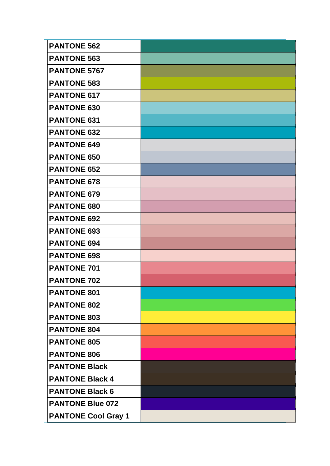| <b>PANTONE 562</b>         |  |
|----------------------------|--|
| <b>PANTONE 563</b>         |  |
| <b>PANTONE 5767</b>        |  |
| <b>PANTONE 583</b>         |  |
| <b>PANTONE 617</b>         |  |
| <b>PANTONE 630</b>         |  |
| <b>PANTONE 631</b>         |  |
| <b>PANTONE 632</b>         |  |
| <b>PANTONE 649</b>         |  |
| <b>PANTONE 650</b>         |  |
| <b>PANTONE 652</b>         |  |
| <b>PANTONE 678</b>         |  |
| <b>PANTONE 679</b>         |  |
| <b>PANTONE 680</b>         |  |
| <b>PANTONE 692</b>         |  |
| <b>PANTONE 693</b>         |  |
| <b>PANTONE 694</b>         |  |
| <b>PANTONE 698</b>         |  |
| <b>PANTONE 701</b>         |  |
| <b>PANTONE 702</b>         |  |
| <b>PANTONE 801</b>         |  |
| <b>PANTONE 802</b>         |  |
| <b>PANTONE 803</b>         |  |
| <b>PANTONE 804</b>         |  |
| <b>PANTONE 805</b>         |  |
| <b>PANTONE 806</b>         |  |
| <b>PANTONE Black</b>       |  |
| <b>PANTONE Black 4</b>     |  |
| <b>PANTONE Black 6</b>     |  |
| <b>PANTONE Blue 072</b>    |  |
| <b>PANTONE Cool Gray 1</b> |  |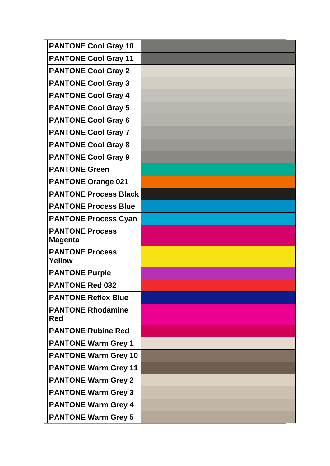| <b>PANTONE Cool Gray 10</b>              |  |
|------------------------------------------|--|
| <b>PANTONE Cool Gray 11</b>              |  |
| <b>PANTONE Cool Gray 2</b>               |  |
| <b>PANTONE Cool Gray 3</b>               |  |
| <b>PANTONE Cool Gray 4</b>               |  |
| <b>PANTONE Cool Gray 5</b>               |  |
| <b>PANTONE Cool Gray 6</b>               |  |
| <b>PANTONE Cool Gray 7</b>               |  |
| <b>PANTONE Cool Gray 8</b>               |  |
| <b>PANTONE Cool Gray 9</b>               |  |
| <b>PANTONE Green</b>                     |  |
| <b>PANTONE Orange 021</b>                |  |
| <b>PANTONE Process Black</b>             |  |
| <b>PANTONE Process Blue</b>              |  |
| <b>PANTONE Process Cyan</b>              |  |
| <b>PANTONE Process</b><br><b>Magenta</b> |  |
| <b>PANTONE Process</b><br><b>Yellow</b>  |  |
| <b>PANTONE Purple</b>                    |  |
| <b>PANTONE Red 032</b>                   |  |
| <b>PANTONE Reflex Blue</b>               |  |
| <b>PANTONE Rhodamine</b><br>Red          |  |
| <b>PANTONE Rubine Red</b>                |  |
| <b>PANTONE Warm Grey 1</b>               |  |
| <b>PANTONE Warm Grey 10</b>              |  |
| <b>PANTONE Warm Grey 11</b>              |  |
| <b>PANTONE Warm Grey 2</b>               |  |
| <b>PANTONE Warm Grey 3</b>               |  |
| <b>PANTONE Warm Grey 4</b>               |  |
| <b>PANTONE Warm Grey 5</b>               |  |